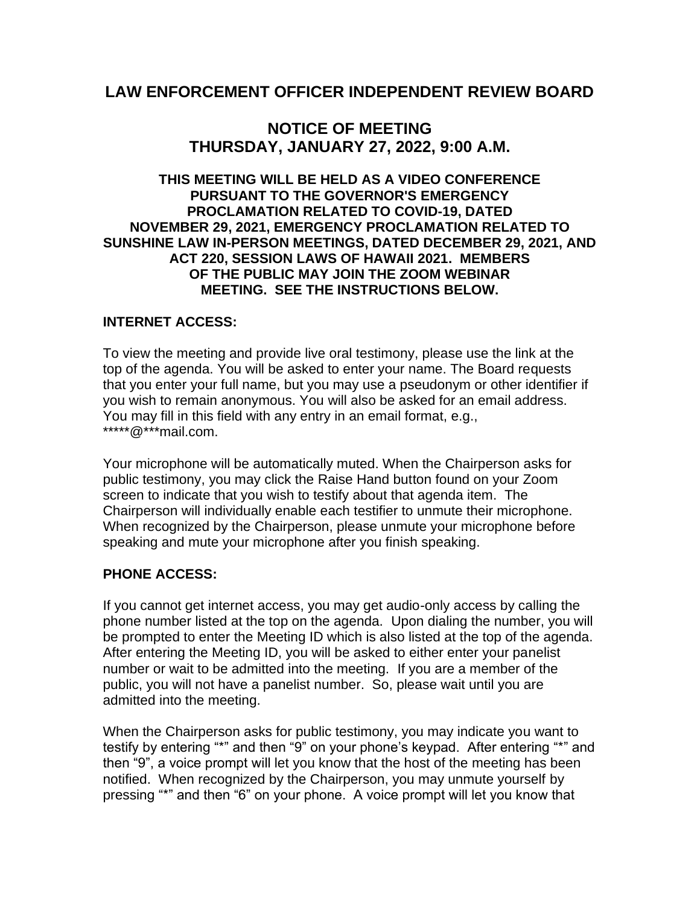### **LAW ENFORCEMENT OFFICER INDEPENDENT REVIEW BOARD**

## **NOTICE OF MEETING THURSDAY, JANUARY 27, 2022, 9:00 A.M.**

#### **THIS MEETING WILL BE HELD AS A VIDEO CONFERENCE PURSUANT TO THE GOVERNOR'S EMERGENCY PROCLAMATION RELATED TO COVID-19, DATED NOVEMBER 29, 2021, EMERGENCY PROCLAMATION RELATED TO SUNSHINE LAW IN-PERSON MEETINGS, DATED DECEMBER 29, 2021, AND ACT 220, SESSION LAWS OF HAWAII 2021. MEMBERS OF THE PUBLIC MAY JOIN THE ZOOM WEBINAR MEETING. SEE THE INSTRUCTIONS BELOW.**

#### **INTERNET ACCESS:**

To view the meeting and provide live oral testimony, please use the link at the top of the agenda. You will be asked to enter your name. The Board requests that you enter your full name, but you may use a pseudonym or other identifier if you wish to remain anonymous. You will also be asked for an email address. You may fill in this field with any entry in an email format, e.g., \*\*\*\*\*@\*\*\*mail.com.

Your microphone will be automatically muted. When the Chairperson asks for public testimony, you may click the Raise Hand button found on your Zoom screen to indicate that you wish to testify about that agenda item. The Chairperson will individually enable each testifier to unmute their microphone. When recognized by the Chairperson, please unmute your microphone before speaking and mute your microphone after you finish speaking.

#### **PHONE ACCESS:**

If you cannot get internet access, you may get audio-only access by calling the phone number listed at the top on the agenda. Upon dialing the number, you will be prompted to enter the Meeting ID which is also listed at the top of the agenda. After entering the Meeting ID, you will be asked to either enter your panelist number or wait to be admitted into the meeting. If you are a member of the public, you will not have a panelist number. So, please wait until you are admitted into the meeting.

When the Chairperson asks for public testimony, you may indicate you want to testify by entering "\*" and then "9" on your phone's keypad. After entering "\*" and then "9", a voice prompt will let you know that the host of the meeting has been notified. When recognized by the Chairperson, you may unmute yourself by pressing "\*" and then "6" on your phone. A voice prompt will let you know that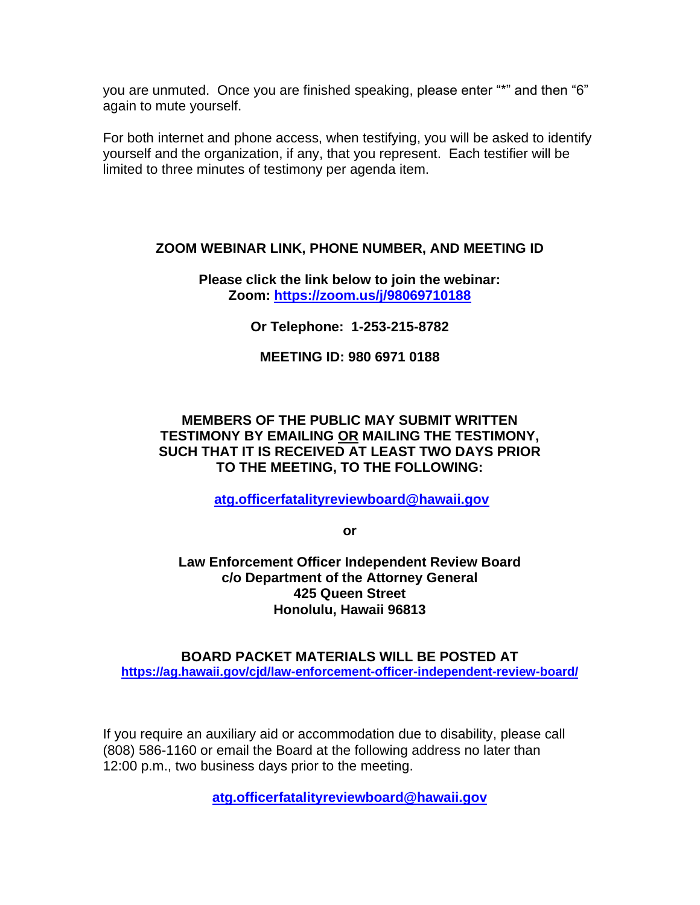you are unmuted. Once you are finished speaking, please enter "\*" and then "6" again to mute yourself.

For both internet and phone access, when testifying, you will be asked to identify yourself and the organization, if any, that you represent. Each testifier will be limited to three minutes of testimony per agenda item.

#### **ZOOM WEBINAR LINK, PHONE NUMBER, AND MEETING ID**

**Please click the link below to join the webinar: Zoom:<https://zoom.us/j/98069710188>**

**Or Telephone: 1-253-215-8782**

**MEETING ID: 980 6971 0188**

#### **MEMBERS OF THE PUBLIC MAY SUBMIT WRITTEN TESTIMONY BY EMAILING OR MAILING THE TESTIMONY, SUCH THAT IT IS RECEIVED AT LEAST TWO DAYS PRIOR TO THE MEETING, TO THE FOLLOWING:**

**[atg.officerfatalityreviewboard@hawaii.gov](mailto:atg.officerfatalityreviewboard@hawaii.gov)**

**or**

**Law Enforcement Officer Independent Review Board c/o Department of the Attorney General 425 Queen Street Honolulu, Hawaii 96813**

**BOARD PACKET MATERIALS WILL BE POSTED AT <https://ag.hawaii.gov/cjd/law-enforcement-officer-independent-review-board/>**

If you require an auxiliary aid or accommodation due to disability, please call (808) 586-1160 or email the Board at the following address no later than 12:00 p.m., two business days prior to the meeting.

**[atg.officerfatalityreviewboard@hawaii.gov](mailto:atg.officerfatalityreviewboard@hawaii.gov)**